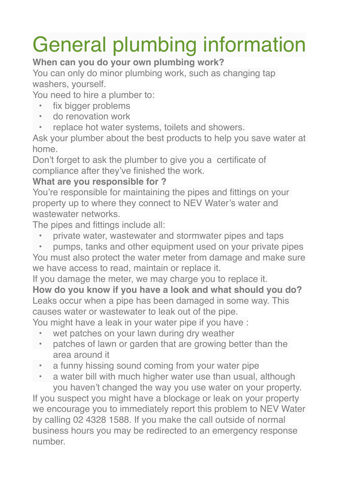## General plumbing information

## **When can you do your own plumbing work?**

You can only do minor plumbing work, such as changing tap washers, yourself.

You need to hire a plumber to:

- fix bigger problems
- do renovation work
- replace hot water systems, toilets and showers.

Ask your plumber about the best products to help you save water at home.

Don't forget to ask the plumber to give you a certificate of compliance after they've finished the work.

## **What are you responsible for ?**

You're responsible for maintaining the pipes and fittings on your property up to where they connect to NEV Water's water and wastewater networks.

The pipes and fittings include all:

- private water, wastewater and stormwater pipes and taps
- pumps, tanks and other equipment used on your private pipes

You must also protect the water meter from damage and make sure we have access to read, maintain or replace it.

If you damage the meter, we may charge you to replace it. **How do you know if you have a look and what should you do?** Leaks occur when a pipe has been damaged in some way. This causes water or wastewater to leak out of the pipe.

You might have a leak in your water pipe if you have :

- wet patches on your lawn during dry weather
- patches of lawn or garden that are growing better than the area around it
- a funny hissing sound coming from your water pipe
- a water bill with much higher water use than usual, although you haven't changed the way you use water on your property.

If you suspect you might have a blockage or leak on your property we encourage you to immediately report this problem to NEV Water by calling 02 4328 1588. If you make the call outside of normal business hours you may be redirected to an emergency response number.